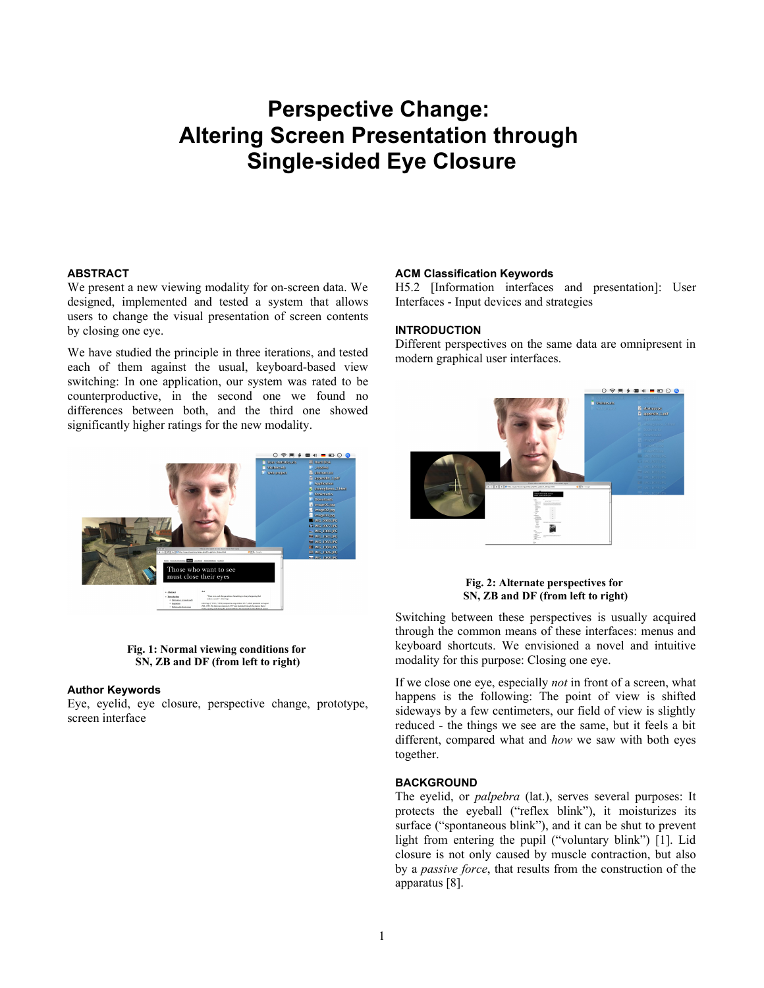# **Perspective Change: Altering Screen Presentation through Single-sided Eye Closure**

# **ABSTRACT**

We present a new viewing modality for on-screen data. We designed, implemented and tested a system that allows users to change the visual presentation of screen contents by closing one eye.

We have studied the principle in three iterations, and tested each of them against the usual, keyboard-based view switching: In one application, our system was rated to be counterproductive, in the second one we found no differences between both, and the third one showed significantly higher ratings for the new modality.



# **ACM Classification Keywords**

H5.2 [Information interfaces and presentation]: User Interfaces - Input devices and strategies

# **INTRODUCTION**

Different perspectives on the same data are omnipresent in modern graphical user interfaces.



# **Fig. 2: Alternate perspectives for SN, ZB and DF (from left to right)**

Switching between these perspectives is usually acquired through the common means of these interfaces: menus and keyboard shortcuts. We envisioned a novel and intuitive modality for this purpose: Closing one eye.

If we close one eye, especially *not* in front of a screen, what happens is the following: The point of view is shifted sideways by a few centimeters, our field of view is slightly reduced - the things we see are the same, but it feels a bit different, compared what and *how* we saw with both eyes together.

# **BACKGROUND**

The eyelid, or *palpebra* (lat.), serves several purposes: It protects the eyeball ("reflex blink"), it moisturizes its surface ("spontaneous blink"), and it can be shut to prevent light from entering the pupil ("voluntary blink") [1]. Lid closure is not only caused by muscle contraction, but also by a *passive force*, that results from the construction of the apparatus [8].

#### **Fig. 1: Normal viewing conditions for SN, ZB and DF (from left to right)**

## **Author Keywords**

Eye, eyelid, eye closure, perspective change, prototype, screen interface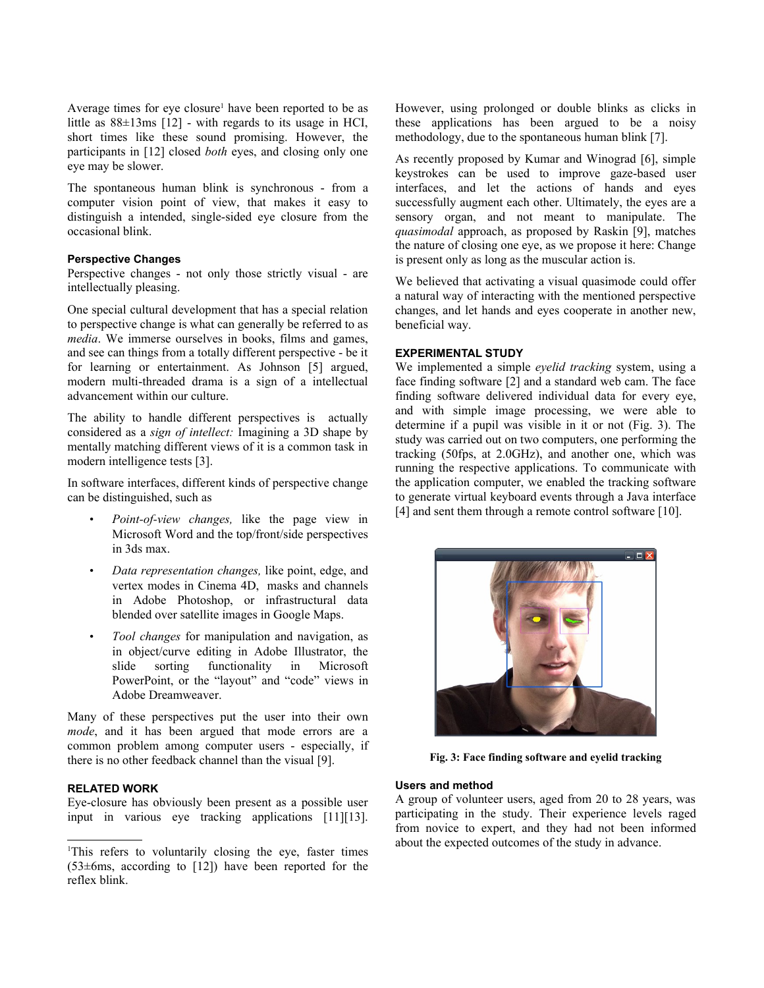Average times for eye closure<sup>[1](#page-1-0)</sup> have been reported to be as little as 88±13ms [12] - with regards to its usage in HCI, short times like these sound promising. However, the participants in [12] closed *both* eyes, and closing only one eye may be slower.

The spontaneous human blink is synchronous - from a computer vision point of view, that makes it easy to distinguish a intended, single-sided eye closure from the occasional blink.

# **Perspective Changes**

Perspective changes - not only those strictly visual - are intellectually pleasing.

One special cultural development that has a special relation to perspective change is what can generally be referred to as *media*. We immerse ourselves in books, films and games, and see can things from a totally different perspective - be it for learning or entertainment. As Johnson [5] argued, modern multi-threaded drama is a sign of a intellectual advancement within our culture.

The ability to handle different perspectives is actually considered as a *sign of intellect:* Imagining a 3D shape by mentally matching different views of it is a common task in modern intelligence tests [3].

In software interfaces, different kinds of perspective change can be distinguished, such as

- *Point-of-view changes,* like the page view in Microsoft Word and the top/front/side perspectives in 3ds max.
- *Data representation changes,* like point, edge, and vertex modes in Cinema 4D, masks and channels in Adobe Photoshop, or infrastructural data blended over satellite images in Google Maps.
- *Tool changes* for manipulation and navigation, as in object/curve editing in Adobe Illustrator, the slide sorting functionality in Microsoft PowerPoint, or the "layout" and "code" views in Adobe Dreamweaver.

Many of these perspectives put the user into their own *mode*, and it has been argued that mode errors are a common problem among computer users - especially, if there is no other feedback channel than the visual [9].

# **RELATED WORK**

Eye-closure has obviously been present as a possible user input in various eye tracking applications [11][13]. However, using prolonged or double blinks as clicks in these applications has been argued to be a noisy methodology, due to the spontaneous human blink [7].

As recently proposed by Kumar and Winograd [6], simple keystrokes can be used to improve gaze-based user interfaces, and let the actions of hands and eyes successfully augment each other. Ultimately, the eyes are a sensory organ, and not meant to manipulate. The *quasimodal* approach, as proposed by Raskin [9], matches the nature of closing one eye, as we propose it here: Change is present only as long as the muscular action is.

We believed that activating a visual quasimode could offer a natural way of interacting with the mentioned perspective changes, and let hands and eyes cooperate in another new, beneficial way.

# **EXPERIMENTAL STUDY**

We implemented a simple *eyelid tracking* system, using a face finding software [2] and a standard web cam. The face finding software delivered individual data for every eye, and with simple image processing, we were able to determine if a pupil was visible in it or not (Fig. 3). The study was carried out on two computers, one performing the tracking (50fps, at 2.0GHz), and another one, which was running the respective applications. To communicate with the application computer, we enabled the tracking software to generate virtual keyboard events through a Java interface [4] and sent them through a remote control software [10].



**Fig. 3: Face finding software and eyelid tracking**

# **Users and method**

A group of volunteer users, aged from 20 to 28 years, was participating in the study. Their experience levels raged from novice to expert, and they had not been informed about the expected outcomes of the study in advance.

<span id="page-1-0"></span><sup>1</sup>This refers to voluntarily closing the eye, faster times (53±6ms, according to [12]) have been reported for the reflex blink.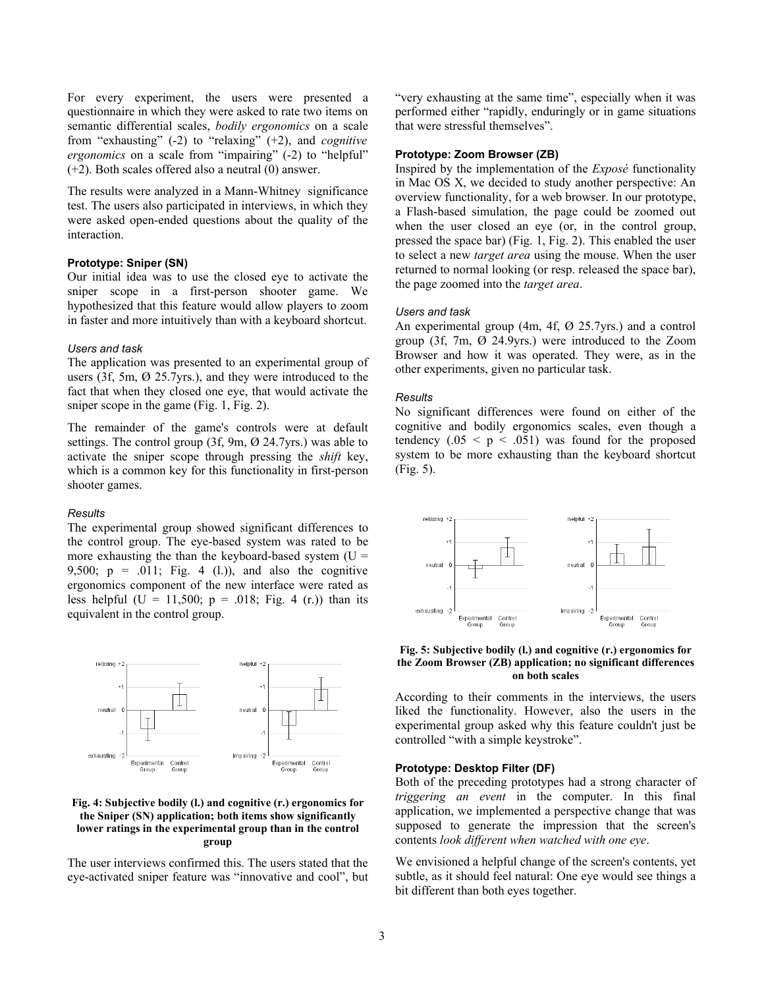For every experiment, the users were presented a questionnaire in which they were asked to rate two items on semantic differential scales, *bodily ergonomics* on a scale from "exhausting" (-2) to "relaxing" (+2), and *cognitive ergonomics* on a scale from "impairing" (-2) to "helpful" (+2). Both scales offered also a neutral (0) answer.

The results were analyzed in a Mann-Whitney significance test. The users also participated in interviews, in which they were asked open-ended questions about the quality of the interaction.

## **Prototype: Sniper (SN)**

Our initial idea was to use the closed eye to activate the sniper scope in a first-person shooter game. We hypothesized that this feature would allow players to zoom in faster and more intuitively than with a keyboard shortcut.

## *Users and task*

The application was presented to an experimental group of users (3f, 5m, Ø 25.7yrs.), and they were introduced to the fact that when they closed one eye, that would activate the sniper scope in the game (Fig. 1, Fig. 2).

The remainder of the game's controls were at default settings. The control group (3f, 9m, Ø 24.7yrs.) was able to activate the sniper scope through pressing the *shift* key, which is a common key for this functionality in first-person shooter games.

#### *Results*

The experimental group showed significant differences to the control group. The eye-based system was rated to be more exhausting the than the keyboard-based system  $(U =$ 9,500;  $p = .011$ ; Fig. 4 (1.)), and also the cognitive ergonomics component of the new interface were rated as less helpful (U = 11,500;  $p = .018$ ; Fig. 4 (r.)) than its equivalent in the control group.



# **Fig. 4: Subjective bodily (l.) and cognitive (r.) ergonomics for the Sniper (SN) application; both items show significantly lower ratings in the experimental group than in the control group**

The user interviews confirmed this. The users stated that the eye-activated sniper feature was "innovative and cool", but

"very exhausting at the same time", especially when it was performed either "rapidly, enduringly or in game situations that were stressful themselves".

# **Prototype: Zoom Browser (ZB)**

Inspired by the implementation of the *Exposé* functionality in Mac OS X, we decided to study another perspective: An overview functionality, for a web browser. In our prototype, a Flash-based simulation, the page could be zoomed out when the user closed an eye (or, in the control group, pressed the space bar) (Fig. 1, Fig. 2). This enabled the user to select a new *target area* using the mouse. When the user returned to normal looking (or resp. released the space bar), the page zoomed into the *target area*.

#### *Users and task*

An experimental group (4m, 4f, Ø 25.7yrs.) and a control group (3f, 7m, Ø 24.9yrs.) were introduced to the Zoom Browser and how it was operated. They were, as in the other experiments, given no particular task.

#### *Results*

No significant differences were found on either of the cognitive and bodily ergonomics scales, even though a tendency  $(.05 \le p \le .051)$  was found for the proposed system to be more exhausting than the keyboard shortcut (Fig. 5).



**Fig. 5: Subjective bodily (l.) and cognitive (r.) ergonomics for the Zoom Browser (ZB) application; no significant differences on both scales**

According to their comments in the interviews, the users liked the functionality. However, also the users in the experimental group asked why this feature couldn't just be controlled "with a simple keystroke".

# **Prototype: Desktop Filter (DF)**

Both of the preceding prototypes had a strong character of *triggering an event* in the computer. In this final application, we implemented a perspective change that was supposed to generate the impression that the screen's contents *look different when watched with one eye*.

We envisioned a helpful change of the screen's contents, yet subtle, as it should feel natural: One eye would see things a bit different than both eyes together.